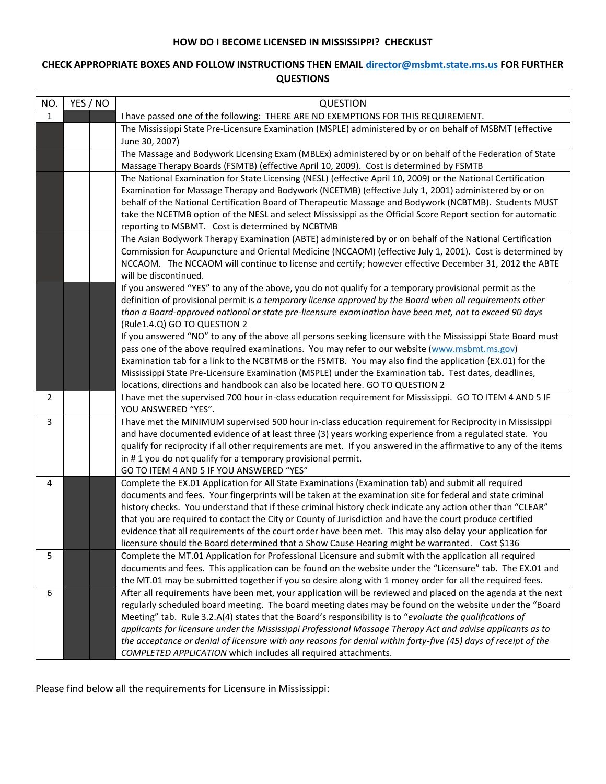## **HOW DO I BECOME LICENSED IN MISSISSIPPI? CHECKLIST**

## **CHECK APPROPRIATE BOXES AND FOLLOW INSTRUCTIONS THEN EMAI[L director@msbmt.state.ms.us](mailto:director@msbmt.state.ms.us) FOR FURTHER QUESTIONS**

| NO.          | YES / NO | <b>QUESTION</b>                                                                                                                                                                                                                                                                                                                                                                                                                                                                                                                                                                                                                                                                                                                                                                                                                                                                                                                                               |
|--------------|----------|---------------------------------------------------------------------------------------------------------------------------------------------------------------------------------------------------------------------------------------------------------------------------------------------------------------------------------------------------------------------------------------------------------------------------------------------------------------------------------------------------------------------------------------------------------------------------------------------------------------------------------------------------------------------------------------------------------------------------------------------------------------------------------------------------------------------------------------------------------------------------------------------------------------------------------------------------------------|
| $\mathbf{1}$ |          | I have passed one of the following: THERE ARE NO EXEMPTIONS FOR THIS REQUIREMENT.                                                                                                                                                                                                                                                                                                                                                                                                                                                                                                                                                                                                                                                                                                                                                                                                                                                                             |
|              |          | The Mississippi State Pre-Licensure Examination (MSPLE) administered by or on behalf of MSBMT (effective<br>June 30, 2007)                                                                                                                                                                                                                                                                                                                                                                                                                                                                                                                                                                                                                                                                                                                                                                                                                                    |
|              |          | The Massage and Bodywork Licensing Exam (MBLEx) administered by or on behalf of the Federation of State<br>Massage Therapy Boards (FSMTB) (effective April 10, 2009). Cost is determined by FSMTB                                                                                                                                                                                                                                                                                                                                                                                                                                                                                                                                                                                                                                                                                                                                                             |
|              |          | The National Examination for State Licensing (NESL) (effective April 10, 2009) or the National Certification                                                                                                                                                                                                                                                                                                                                                                                                                                                                                                                                                                                                                                                                                                                                                                                                                                                  |
|              |          | Examination for Massage Therapy and Bodywork (NCETMB) (effective July 1, 2001) administered by or on                                                                                                                                                                                                                                                                                                                                                                                                                                                                                                                                                                                                                                                                                                                                                                                                                                                          |
|              |          | behalf of the National Certification Board of Therapeutic Massage and Bodywork (NCBTMB). Students MUST<br>take the NCETMB option of the NESL and select Mississippi as the Official Score Report section for automatic                                                                                                                                                                                                                                                                                                                                                                                                                                                                                                                                                                                                                                                                                                                                        |
|              |          | reporting to MSBMT. Cost is determined by NCBTMB                                                                                                                                                                                                                                                                                                                                                                                                                                                                                                                                                                                                                                                                                                                                                                                                                                                                                                              |
|              |          | The Asian Bodywork Therapy Examination (ABTE) administered by or on behalf of the National Certification                                                                                                                                                                                                                                                                                                                                                                                                                                                                                                                                                                                                                                                                                                                                                                                                                                                      |
|              |          | Commission for Acupuncture and Oriental Medicine (NCCAOM) (effective July 1, 2001). Cost is determined by                                                                                                                                                                                                                                                                                                                                                                                                                                                                                                                                                                                                                                                                                                                                                                                                                                                     |
|              |          | NCCAOM. The NCCAOM will continue to license and certify; however effective December 31, 2012 the ABTE                                                                                                                                                                                                                                                                                                                                                                                                                                                                                                                                                                                                                                                                                                                                                                                                                                                         |
|              |          | will be discontinued.                                                                                                                                                                                                                                                                                                                                                                                                                                                                                                                                                                                                                                                                                                                                                                                                                                                                                                                                         |
|              |          | If you answered "YES" to any of the above, you do not qualify for a temporary provisional permit as the<br>definition of provisional permit is a temporary license approved by the Board when all requirements other                                                                                                                                                                                                                                                                                                                                                                                                                                                                                                                                                                                                                                                                                                                                          |
|              |          | than a Board-approved national or state pre-licensure examination have been met, not to exceed 90 days                                                                                                                                                                                                                                                                                                                                                                                                                                                                                                                                                                                                                                                                                                                                                                                                                                                        |
|              |          | (Rule1.4.Q) GO TO QUESTION 2                                                                                                                                                                                                                                                                                                                                                                                                                                                                                                                                                                                                                                                                                                                                                                                                                                                                                                                                  |
|              |          | If you answered "NO" to any of the above all persons seeking licensure with the Mississippi State Board must                                                                                                                                                                                                                                                                                                                                                                                                                                                                                                                                                                                                                                                                                                                                                                                                                                                  |
|              |          | pass one of the above required examinations. You may refer to our website (www.msbmt.ms.gov)                                                                                                                                                                                                                                                                                                                                                                                                                                                                                                                                                                                                                                                                                                                                                                                                                                                                  |
|              |          | Examination tab for a link to the NCBTMB or the FSMTB. You may also find the application (EX.01) for the                                                                                                                                                                                                                                                                                                                                                                                                                                                                                                                                                                                                                                                                                                                                                                                                                                                      |
|              |          | Mississippi State Pre-Licensure Examination (MSPLE) under the Examination tab. Test dates, deadlines,<br>locations, directions and handbook can also be located here. GO TO QUESTION 2                                                                                                                                                                                                                                                                                                                                                                                                                                                                                                                                                                                                                                                                                                                                                                        |
| 2            |          | I have met the supervised 700 hour in-class education requirement for Mississippi. GO TO ITEM 4 AND 5 IF                                                                                                                                                                                                                                                                                                                                                                                                                                                                                                                                                                                                                                                                                                                                                                                                                                                      |
|              |          | YOU ANSWERED "YES".                                                                                                                                                                                                                                                                                                                                                                                                                                                                                                                                                                                                                                                                                                                                                                                                                                                                                                                                           |
| 3            |          | I have met the MINIMUM supervised 500 hour in-class education requirement for Reciprocity in Mississippi                                                                                                                                                                                                                                                                                                                                                                                                                                                                                                                                                                                                                                                                                                                                                                                                                                                      |
|              |          | and have documented evidence of at least three (3) years working experience from a regulated state. You                                                                                                                                                                                                                                                                                                                                                                                                                                                                                                                                                                                                                                                                                                                                                                                                                                                       |
|              |          | qualify for reciprocity if all other requirements are met. If you answered in the affirmative to any of the items<br>in #1 you do not qualify for a temporary provisional permit.                                                                                                                                                                                                                                                                                                                                                                                                                                                                                                                                                                                                                                                                                                                                                                             |
|              |          | GO TO ITEM 4 AND 5 IF YOU ANSWERED "YES"                                                                                                                                                                                                                                                                                                                                                                                                                                                                                                                                                                                                                                                                                                                                                                                                                                                                                                                      |
| 4            |          | Complete the EX.01 Application for All State Examinations (Examination tab) and submit all required                                                                                                                                                                                                                                                                                                                                                                                                                                                                                                                                                                                                                                                                                                                                                                                                                                                           |
|              |          | documents and fees. Your fingerprints will be taken at the examination site for federal and state criminal                                                                                                                                                                                                                                                                                                                                                                                                                                                                                                                                                                                                                                                                                                                                                                                                                                                    |
|              |          | history checks. You understand that if these criminal history check indicate any action other than "CLEAR"                                                                                                                                                                                                                                                                                                                                                                                                                                                                                                                                                                                                                                                                                                                                                                                                                                                    |
|              |          | that you are required to contact the City or County of Jurisdiction and have the court produce certified                                                                                                                                                                                                                                                                                                                                                                                                                                                                                                                                                                                                                                                                                                                                                                                                                                                      |
|              |          |                                                                                                                                                                                                                                                                                                                                                                                                                                                                                                                                                                                                                                                                                                                                                                                                                                                                                                                                                               |
|              |          |                                                                                                                                                                                                                                                                                                                                                                                                                                                                                                                                                                                                                                                                                                                                                                                                                                                                                                                                                               |
|              |          |                                                                                                                                                                                                                                                                                                                                                                                                                                                                                                                                                                                                                                                                                                                                                                                                                                                                                                                                                               |
|              |          | the MT.01 may be submitted together if you so desire along with 1 money order for all the required fees.                                                                                                                                                                                                                                                                                                                                                                                                                                                                                                                                                                                                                                                                                                                                                                                                                                                      |
| 6            |          | After all requirements have been met, your application will be reviewed and placed on the agenda at the next                                                                                                                                                                                                                                                                                                                                                                                                                                                                                                                                                                                                                                                                                                                                                                                                                                                  |
|              |          |                                                                                                                                                                                                                                                                                                                                                                                                                                                                                                                                                                                                                                                                                                                                                                                                                                                                                                                                                               |
|              |          |                                                                                                                                                                                                                                                                                                                                                                                                                                                                                                                                                                                                                                                                                                                                                                                                                                                                                                                                                               |
|              |          |                                                                                                                                                                                                                                                                                                                                                                                                                                                                                                                                                                                                                                                                                                                                                                                                                                                                                                                                                               |
|              |          |                                                                                                                                                                                                                                                                                                                                                                                                                                                                                                                                                                                                                                                                                                                                                                                                                                                                                                                                                               |
| 5            |          | evidence that all requirements of the court order have been met. This may also delay your application for<br>licensure should the Board determined that a Show Cause Hearing might be warranted. Cost \$136<br>Complete the MT.01 Application for Professional Licensure and submit with the application all required<br>documents and fees. This application can be found on the website under the "Licensure" tab. The EX.01 and<br>regularly scheduled board meeting. The board meeting dates may be found on the website under the "Board<br>Meeting" tab. Rule 3.2.A(4) states that the Board's responsibility is to "evaluate the qualifications of<br>applicants for licensure under the Mississippi Professional Massage Therapy Act and advise applicants as to<br>the acceptance or denial of licensure with any reasons for denial within forty-five (45) days of receipt of the<br>COMPLETED APPLICATION which includes all required attachments. |

Please find below all the requirements for Licensure in Mississippi: